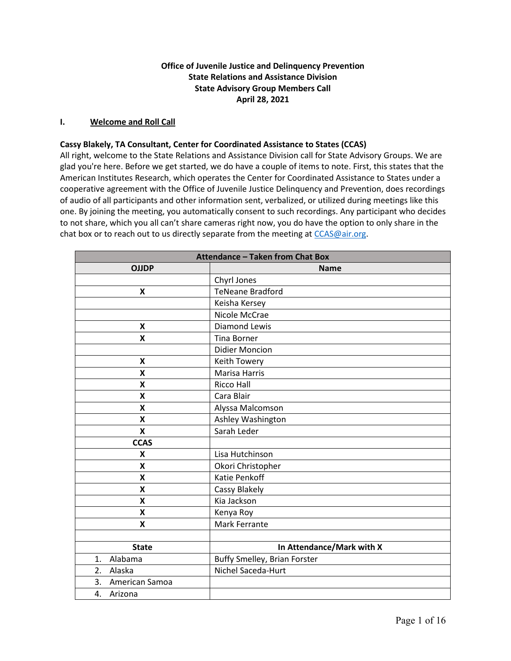# **Office of Juvenile Justice and Delinquency Prevention State Relations and Assistance Division State Advisory Group Members Call April 28, 2021**

## **I. Welcome and Roll Call**

#### **Cassy Blakely, TA Consultant, Center for Coordinated Assistance to States (CCAS)**

 cooperative agreement with the Office of Juvenile Justice Delinquency and Prevention, does recordings of audio of all participants and other information sent, verbalized, or utilized during meetings like this chat box or to reach out to us directly separate from the meeting at CCAS@air.org. All right, welcome to the State Relations and Assistance Division call for State Advisory Groups. We are glad you're here. Before we get started, we do have a couple of items to note. First, this states that the American Institutes Research, which operates the Center for Coordinated Assistance to States under a one. By joining the meeting, you automatically consent to such recordings. Any participant who decides to not share, which you all can't share cameras right now, you do have the option to only share in the

| <b>Attendance - Taken from Chat Box</b> |                                     |
|-----------------------------------------|-------------------------------------|
| <b>OJJDP</b>                            | <b>Name</b>                         |
|                                         | Chyrl Jones                         |
| $\boldsymbol{\mathsf{x}}$               | <b>TeNeane Bradford</b>             |
|                                         | Keisha Kersey                       |
|                                         | Nicole McCrae                       |
| X                                       | <b>Diamond Lewis</b>                |
| X                                       | <b>Tina Borner</b>                  |
|                                         | <b>Didier Moncion</b>               |
| $\pmb{\mathsf{X}}$                      | Keith Towery                        |
| X                                       | <b>Marisa Harris</b>                |
| X                                       | <b>Ricco Hall</b>                   |
| X                                       | Cara Blair                          |
| X                                       | Alyssa Malcomson                    |
| X                                       | Ashley Washington                   |
| $\boldsymbol{\mathsf{x}}$               | Sarah Leder                         |
| <b>CCAS</b>                             |                                     |
| $\pmb{\mathsf{X}}$                      | Lisa Hutchinson                     |
| X                                       | Okori Christopher                   |
| X                                       | <b>Katie Penkoff</b>                |
| X                                       | Cassy Blakely                       |
| X                                       | Kia Jackson                         |
| $\pmb{\mathsf{X}}$                      | Kenya Roy                           |
| X                                       | Mark Ferrante                       |
|                                         |                                     |
| <b>State</b>                            | In Attendance/Mark with X           |
| Alabama<br>1.                           | <b>Buffy Smelley, Brian Forster</b> |
| 2. Alaska                               | Nichel Saceda-Hurt                  |
| 3. American Samoa                       |                                     |
| 4. Arizona                              |                                     |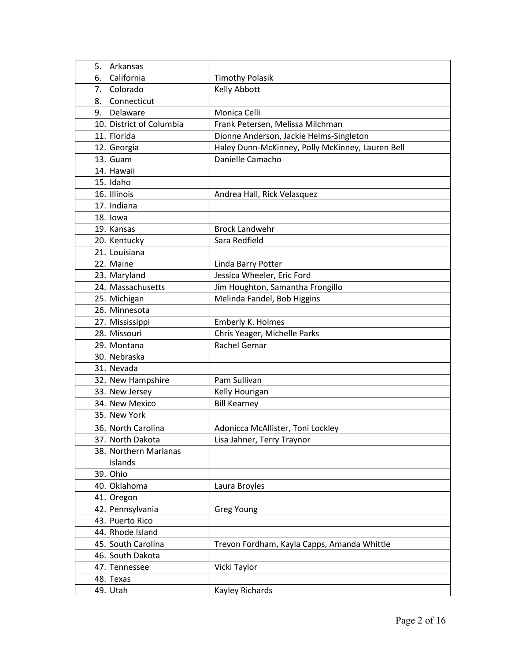| Arkansas<br>5.           |                                                  |
|--------------------------|--------------------------------------------------|
| California<br>6.         | <b>Timothy Polasik</b>                           |
| Colorado<br>7.           | Kelly Abbott                                     |
| Connecticut<br>8.        |                                                  |
| 9.<br>Delaware           | Monica Celli                                     |
| 10. District of Columbia | Frank Petersen, Melissa Milchman                 |
| 11. Florida              | Dionne Anderson, Jackie Helms-Singleton          |
| 12. Georgia              | Haley Dunn-McKinney, Polly McKinney, Lauren Bell |
| 13. Guam                 | Danielle Camacho                                 |
| 14. Hawaii               |                                                  |
| 15. Idaho                |                                                  |
| 16. Illinois             | Andrea Hall, Rick Velasquez                      |
| 17. Indiana              |                                                  |
| 18. lowa                 |                                                  |
| 19. Kansas               | <b>Brock Landwehr</b>                            |
| 20. Kentucky             | Sara Redfield                                    |
| 21. Louisiana            |                                                  |
| 22. Maine                | Linda Barry Potter                               |
| 23. Maryland             | Jessica Wheeler, Eric Ford                       |
| 24. Massachusetts        | Jim Houghton, Samantha Frongillo                 |
| 25. Michigan             | Melinda Fandel, Bob Higgins                      |
| 26. Minnesota            |                                                  |
| 27. Mississippi          | Emberly K. Holmes                                |
| 28. Missouri             | Chris Yeager, Michelle Parks                     |
| 29. Montana              | Rachel Gemar                                     |
| 30. Nebraska             |                                                  |
| 31. Nevada               |                                                  |
| 32. New Hampshire        | Pam Sullivan                                     |
| 33. New Jersey           | Kelly Hourigan                                   |
| 34. New Mexico           | <b>Bill Kearney</b>                              |
| 35. New York             |                                                  |
| 36. North Carolina       | Adonicca McAllister, Toni Lockley                |
| 37. North Dakota         | Lisa Jahner, Terry Traynor                       |
| 38. Northern Marianas    |                                                  |
| Islands                  |                                                  |
| 39. Ohio                 |                                                  |
| 40. Oklahoma             | Laura Broyles                                    |
| 41. Oregon               |                                                  |
| 42. Pennsylvania         | Greg Young                                       |
| 43. Puerto Rico          |                                                  |
| 44. Rhode Island         |                                                  |
| 45. South Carolina       | Trevon Fordham, Kayla Capps, Amanda Whittle      |
| 46. South Dakota         |                                                  |
| 47. Tennessee            | Vicki Taylor                                     |
| 48. Texas                |                                                  |
| 49. Utah                 | Kayley Richards                                  |
|                          |                                                  |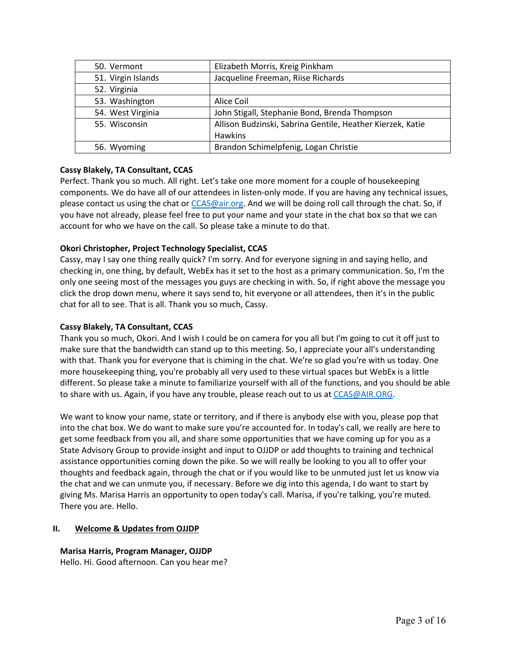| 50. Vermont        | Elizabeth Morris, Kreig Pinkham                            |
|--------------------|------------------------------------------------------------|
| 51. Virgin Islands | Jacqueline Freeman, Riise Richards                         |
| 52. Virginia       |                                                            |
| 53. Washington     | Alice Coil                                                 |
| 54. West Virginia  | John Stigall, Stephanie Bond, Brenda Thompson              |
| 55. Wisconsin      | Allison Budzinski, Sabrina Gentile, Heather Kierzek, Katie |
|                    | <b>Hawkins</b>                                             |
| 56. Wyoming        | Brandon Schimelpfenig, Logan Christie                      |

# **Cassy Blakely, TA Consultant, CCAS**

 Perfect. Thank you so much. All right. Let's take one more moment for a couple of housekeeping components. We do have all of our attendees in listen-only mode. If you are having any technical issues, please contact us using the chat or *CCAS@air.org*. And we will be doing roll call through the chat. So, if you have not already, please feel free to put your name and your state in the chat box so that we can account for who we have on the call. So please take a minute to do that.

# **Okori Christopher, Project Technology Specialist, CCAS**

 Cassy, may I say one thing really quick? I'm sorry. And for everyone signing in and saying hello, and checking in, one thing, by default, WebEx has it set to the host as a primary communication. So, I'm the click the drop down menu, where it says send to, hit everyone or all attendees, then it's in the public chat for all to see. That is all. Thank you so much, Cassy. only one seeing most of the messages you guys are checking in with. So, if right above the message you

## **Cassy Blakely, TA Consultant, CCAS**

 Thank you so much, Okori. And I wish I could be on camera for you all but I'm going to cut it off just to make sure that the bandwidth can stand up to this meeting. So, I appreciate your all's understanding with that. Thank you for everyone that is chiming in the chat. We're so glad you're with us today. One different. So please take a minute to familiarize yourself with all of the functions, and you should be able more housekeeping thing, you're probably all very used to these virtual spaces but WebEx is a little to share with us. Again, if you have any trouble, please reach out to us a[t CCAS@AIR.ORG.](mailto:CCAS@AIR.ORG)

 into the chat box. We do want to make sure you're accounted for. In today's call, we really are here to State Advisory Group to provide insight and input to OJJDP or add thoughts to training and technical thoughts and feedback again, through the chat or if you would like to be unmuted just let us know via the chat and we can unmute you, if necessary. Before we dig into this agenda, I do want to start by We want to know your name, state or territory, and if there is anybody else with you, please pop that get some feedback from you all, and share some opportunities that we have coming up for you as a assistance opportunities coming down the pike. So we will really be looking to you all to offer your giving Ms. Marisa Harris an opportunity to open today's call. Marisa, if you're talking, you're muted. There you are. Hello.

# **II. Welcome & Updates from OJJDP**

# **Marisa Harris, Program Manager, OJJDP**

Hello. Hi. Good afternoon. Can you hear me?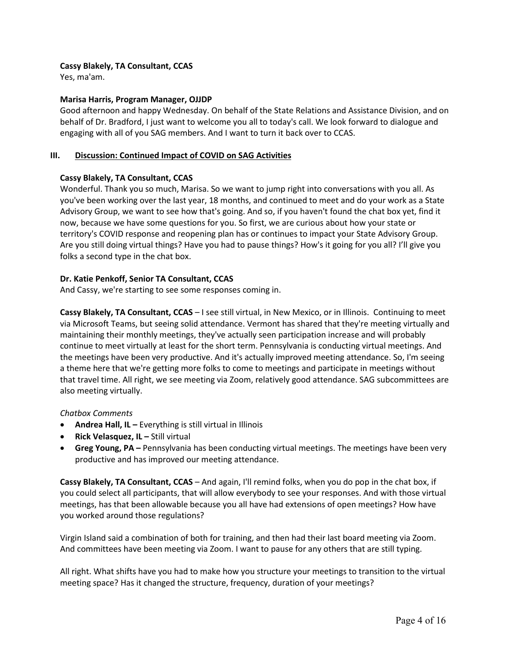# **Cassy Blakely, TA Consultant, CCAS**

Yes, ma'am.

# **Marisa Harris, Program Manager, OJJDP**

 Good afternoon and happy Wednesday. On behalf of the State Relations and Assistance Division, and on behalf of Dr. Bradford, I just want to welcome you all to today's call. We look forward to dialogue and engaging with all of you SAG members. And I want to turn it back over to CCAS.

# **III. Discussion: Continued Impact of COVID on SAG Activities**

# **Cassy Blakely, TA Consultant, CCAS**

 Wonderful. Thank you so much, Marisa. So we want to jump right into conversations with you all. As you've been working over the last year, 18 months, and continued to meet and do your work as a State Advisory Group, we want to see how that's going. And so, if you haven't found the chat box yet, find it territory's COVID response and reopening plan has or continues to impact your State Advisory Group. folks a second type in the chat box. now, because we have some questions for you. So first, we are curious about how your state or Are you still doing virtual things? Have you had to pause things? How's it going for you all? I'll give you

# **Dr. Katie Penkoff, Senior TA Consultant, CCAS**

And Cassy, we're starting to see some responses coming in.

 **Cassy Blakely, TA Consultant, CCAS** – I see still virtual, in New Mexico, or in Illinois. Continuing to meet continue to meet virtually at least for the short term. Pennsylvania is conducting virtual meetings. And also meeting virtually. via Microsoft Teams, but seeing solid attendance. Vermont has shared that they're meeting virtually and maintaining their monthly meetings, they've actually seen participation increase and will probably the meetings have been very productive. And it's actually improved meeting attendance. So, I'm seeing a theme here that we're getting more folks to come to meetings and participate in meetings without that travel time. All right, we see meeting via Zoom, relatively good attendance. SAG subcommittees are

## *Chatbox Comments*

- **Andrea Hall, IL** Everything is still virtual in Illinois
- **Rick Velasquez, IL** Still virtual
- • **Greg Young, PA** Pennsylvania has been conducting virtual meetings. The meetings have been very productive and has improved our meeting attendance.

 **Cassy Blakely, TA Consultant, CCAS** – And again, I'll remind folks, when you do pop in the chat box, if you could select all participants, that will allow everybody to see your responses. And with those virtual meetings, has that been allowable because you all have had extensions of open meetings? How have you worked around those regulations?

 And committees have been meeting via Zoom. I want to pause for any others that are still typing. Virgin Island said a combination of both for training, and then had their last board meeting via Zoom.

 All right. What shifts have you had to make how you structure your meetings to transition to the virtual meeting space? Has it changed the structure, frequency, duration of your meetings?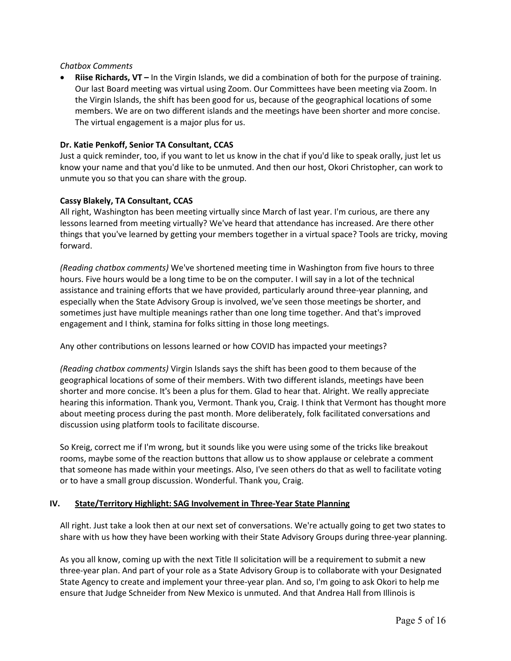#### *Chatbox Comments*

 the Virgin Islands, the shift has been good for us, because of the geographical locations of some members. We are on two different islands and the meetings have been shorter and more concise. • **Riise Richards, VT –** In the Virgin Islands, we did a combination of both for the purpose of training. Our last Board meeting was virtual using Zoom. Our Committees have been meeting via Zoom. In The virtual engagement is a major plus for us.

## **Dr. Katie Penkoff, Senior TA Consultant, CCAS**

 Just a quick reminder, too, if you want to let us know in the chat if you'd like to speak orally, just let us know your name and that you'd like to be unmuted. And then our host, Okori Christopher, can work to unmute you so that you can share with the group.

#### **Cassy Blakely, TA Consultant, CCAS**

 All right, Washington has been meeting virtually since March of last year. I'm curious, are there any things that you've learned by getting your members together in a virtual space? Tools are tricky, moving lessons learned from meeting virtually? We've heard that attendance has increased. Are there other forward.

 hours. Five hours would be a long time to be on the computer. I will say in a lot of the technical *(Reading chatbox comments)* We've shortened meeting time in Washington from five hours to three assistance and training efforts that we have provided, particularly around three-year planning, and especially when the State Advisory Group is involved, we've seen those meetings be shorter, and sometimes just have multiple meanings rather than one long time together. And that's improved engagement and I think, stamina for folks sitting in those long meetings.

Any other contributions on lessons learned or how COVID has impacted your meetings?

 *(Reading chatbox comments)* Virgin Islands says the shift has been good to them because of the shorter and more concise. It's been a plus for them. Glad to hear that. Alright. We really appreciate hearing this information. Thank you, Vermont. Thank you, Craig. I think that Vermont has thought more about meeting process during the past month. More deliberately, folk facilitated conversations and geographical locations of some of their members. With two different islands, meetings have been discussion using platform tools to facilitate discourse.

 that someone has made within your meetings. Also, I've seen others do that as well to facilitate voting or to have a small group discussion. Wonderful. Thank you, Craig. So Kreig, correct me if I'm wrong, but it sounds like you were using some of the tricks like breakout rooms, maybe some of the reaction buttons that allow us to show applause or celebrate a comment

#### **IV. State/Territory Highlight: SAG Involvement in Three-Year State Planning**

 All right. Just take a look then at our next set of conversations. We're actually going to get two states to share with us how they have been working with their State Advisory Groups during three-year planning.

 three-year plan. And part of your role as a State Advisory Group is to collaborate with your Designated State Agency to create and implement your three-year plan. And so, I'm going to ask Okori to help me As you all know, coming up with the next Title II solicitation will be a requirement to submit a new ensure that Judge Schneider from New Mexico is unmuted. And that Andrea Hall from Illinois is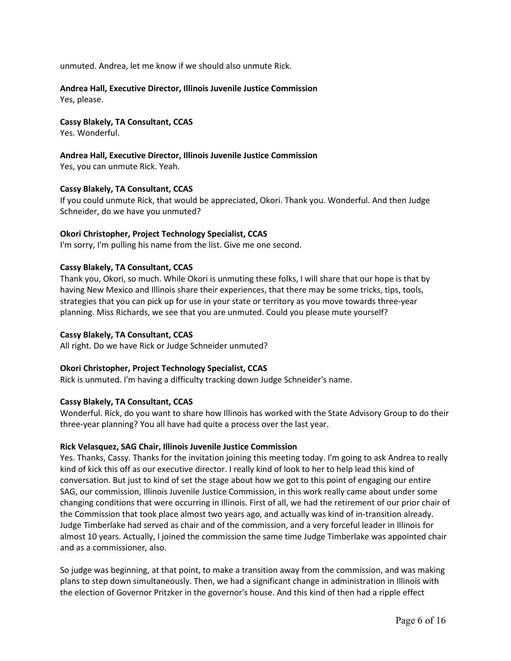unmuted. Andrea, let me know if we should also unmute Rick.

# **Andrea Hall, Executive Director, Illinois Juvenile Justice Commission**

Yes, please.

# **Cassy Blakely, TA Consultant, CCAS**

Yes. Wonderful.

# **Andrea Hall, Executive Director, Illinois Juvenile Justice Commission**

Yes, you can unmute Rick. Yeah.

# **Cassy Blakely, TA Consultant, CCAS**

 If you could unmute Rick, that would be appreciated, Okori. Thank you. Wonderful. And then Judge Schneider, do we have you unmuted?

# **Okori Christopher, Project Technology Specialist, CCAS**

I'm sorry, I'm pulling his name from the list. Give me one second.

# **Cassy Blakely, TA Consultant, CCAS**

 Thank you, Okori, so much. While Okori is unmuting these folks, I will share that our hope is that by having New Mexico and Illinois share their experiences, that there may be some tricks, tips, tools, strategies that you can pick up for use in your state or territory as you move towards three-year planning. Miss Richards, we see that you are unmuted. Could you please mute yourself?

## **Cassy Blakely, TA Consultant, CCAS**

All right. Do we have Rick or Judge Schneider unmuted?

# **Okori Christopher, Project Technology Specialist, CCAS**

Rick is unmuted. I'm having a difficulty tracking down Judge Schneider's name.

## **Cassy Blakely, TA Consultant, CCAS**

 Wonderful. Rick, do you want to share how Illinois has worked with the State Advisory Group to do their three-year planning? You all have had quite a process over the last year.

## **Rick Velasquez, SAG Chair, Illinois Juvenile Justice Commission**

 kind of kick this off as our executive director. I really kind of look to her to help lead this kind of SAG, our commission, Illinois Juvenile Justice Commission, in this work really came about under some almost 10 years. Actually, I joined the commission the same time Judge Timberlake was appointed chair Yes. Thanks, Cassy. Thanks for the invitation joining this meeting today. I'm going to ask Andrea to really conversation. But just to kind of set the stage about how we got to this point of engaging our entire changing conditions that were occurring in Illinois. First of all, we had the retirement of our prior chair of the Commission that took place almost two years ago, and actually was kind of in-transition already. Judge Timberlake had served as chair and of the commission, and a very forceful leader in Illinois for and as a commissioner, also.

 So judge was beginning, at that point, to make a transition away from the commission, and was making plans to step down simultaneously. Then, we had a significant change in administration in Illinois with the election of Governor Pritzker in the governor's house. And this kind of then had a ripple effect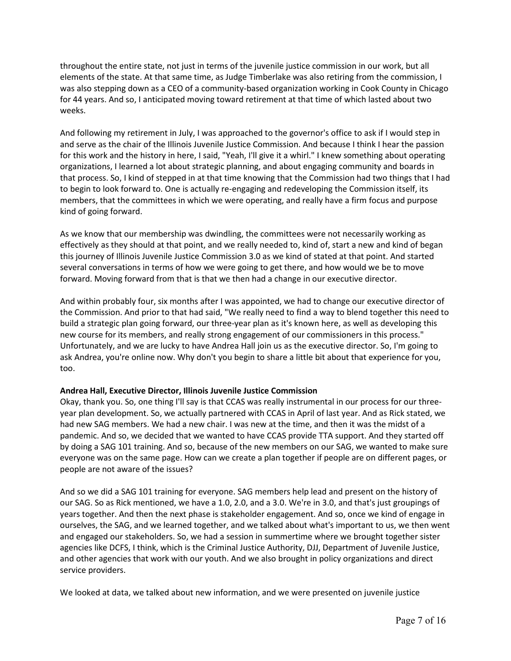throughout the entire state, not just in terms of the juvenile justice commission in our work, but all elements of the state. At that same time, as Judge Timberlake was also retiring from the commission, I was also stepping down as a CEO of a community-based organization working in Cook County in Chicago for 44 years. And so, I anticipated moving toward retirement at that time of which lasted about two weeks.

 for this work and the history in here, I said, "Yeah, I'll give it a whirl." I knew something about operating members, that the committees in which we were operating, and really have a firm focus and purpose And following my retirement in July, I was approached to the governor's office to ask if I would step in and serve as the chair of the Illinois Juvenile Justice Commission. And because I think I hear the passion organizations, I learned a lot about strategic planning, and about engaging community and boards in that process. So, I kind of stepped in at that time knowing that the Commission had two things that I had to begin to look forward to. One is actually re-engaging and redeveloping the Commission itself, its kind of going forward.

 As we know that our membership was dwindling, the committees were not necessarily working as effectively as they should at that point, and we really needed to, kind of, start a new and kind of began several conversations in terms of how we were going to get there, and how would we be to move this journey of Illinois Juvenile Justice Commission 3.0 as we kind of stated at that point. And started forward. Moving forward from that is that we then had a change in our executive director.

 the Commission. And prior to that had said, "We really need to find a way to blend together this need to Unfortunately, and we are lucky to have Andrea Hall join us as the executive director. So, I'm going to And within probably four, six months after I was appointed, we had to change our executive director of build a strategic plan going forward, our three-year plan as it's known here, as well as developing this new course for its members, and really strong engagement of our commissioners in this process." ask Andrea, you're online now. Why don't you begin to share a little bit about that experience for you, too.

# **Andrea Hall, Executive Director, Illinois Juvenile Justice Commission**

 Okay, thank you. So, one thing I'll say is that CCAS was really instrumental in our process for our three- year plan development. So, we actually partnered with CCAS in April of last year. And as Rick stated, we had new SAG members. We had a new chair. I was new at the time, and then it was the midst of a pandemic. And so, we decided that we wanted to have CCAS provide TTA support. And they started off by doing a SAG 101 training. And so, because of the new members on our SAG, we wanted to make sure everyone was on the same page. How can we create a plan together if people are on different pages, or people are not aware of the issues?

 And so we did a SAG 101 training for everyone. SAG members help lead and present on the history of years together. And then the next phase is stakeholder engagement. And so, once we kind of engage in agencies like DCFS, I think, which is the Criminal Justice Authority, DJJ, Department of Juvenile Justice, and other agencies that work with our youth. And we also brought in policy organizations and direct our SAG. So as Rick mentioned, we have a 1.0, 2.0, and a 3.0. We're in 3.0, and that's just groupings of ourselves, the SAG, and we learned together, and we talked about what's important to us, we then went and engaged our stakeholders. So, we had a session in summertime where we brought together sister service providers.

We looked at data, we talked about new information, and we were presented on juvenile justice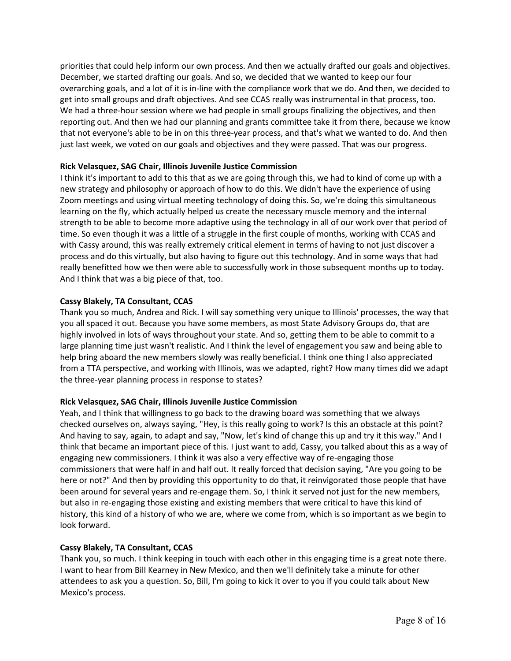December, we started drafting our goals. And so, we decided that we wanted to keep our four reporting out. And then we had our planning and grants committee take it from there, because we know just last week, we voted on our goals and objectives and they were passed. That was our progress. priorities that could help inform our own process. And then we actually drafted our goals and objectives. overarching goals, and a lot of it is in-line with the compliance work that we do. And then, we decided to get into small groups and draft objectives. And see CCAS really was instrumental in that process, too. We had a three-hour session where we had people in small groups finalizing the objectives, and then that not everyone's able to be in on this three-year process, and that's what we wanted to do. And then

# **Rick Velasquez, SAG Chair, Illinois Juvenile Justice Commission**

 I think it's important to add to this that as we are going through this, we had to kind of come up with a new strategy and philosophy or approach of how to do this. We didn't have the experience of using Zoom meetings and using virtual meeting technology of doing this. So, we're doing this simultaneous time. So even though it was a little of a struggle in the first couple of months, working with CCAS and with Cassy around, this was really extremely critical element in terms of having to not just discover a process and do this virtually, but also having to figure out this technology. And in some ways that had really benefitted how we then were able to successfully work in those subsequent months up to today. learning on the fly, which actually helped us create the necessary muscle memory and the internal strength to be able to become more adaptive using the technology in all of our work over that period of And I think that was a big piece of that, too.

# **Cassy Blakely, TA Consultant, CCAS**

 Thank you so much, Andrea and Rick. I will say something very unique to Illinois' processes, the way that highly involved in lots of ways throughout your state. And so, getting them to be able to commit to a large planning time just wasn't realistic. And I think the level of engagement you saw and being able to you all spaced it out. Because you have some members, as most State Advisory Groups do, that are help bring aboard the new members slowly was really beneficial. I think one thing I also appreciated from a TTA perspective, and working with Illinois, was we adapted, right? How many times did we adapt the three-year planning process in response to states?

# **Rick Velasquez, SAG Chair, Illinois Juvenile Justice Commission**

 And having to say, again, to adapt and say, "Now, let's kind of change this up and try it this way." And I think that became an important piece of this. I just want to add, Cassy, you talked about this as a way of commissioners that were half in and half out. It really forced that decision saying, "Are you going to be here or not?" And then by providing this opportunity to do that, it reinvigorated those people that have but also in re-engaging those existing and existing members that were critical to have this kind of Yeah, and I think that willingness to go back to the drawing board was something that we always checked ourselves on, always saying, "Hey, is this really going to work? Is this an obstacle at this point? engaging new commissioners. I think it was also a very effective way of re-engaging those been around for several years and re-engage them. So, I think it served not just for the new members, history, this kind of a history of who we are, where we come from, which is so important as we begin to look forward.

# **Cassy Blakely, TA Consultant, CCAS**

 Thank you, so much. I think keeping in touch with each other in this engaging time is a great note there. I want to hear from Bill Kearney in New Mexico, and then we'll definitely take a minute for other attendees to ask you a question. So, Bill, I'm going to kick it over to you if you could talk about New Mexico's process.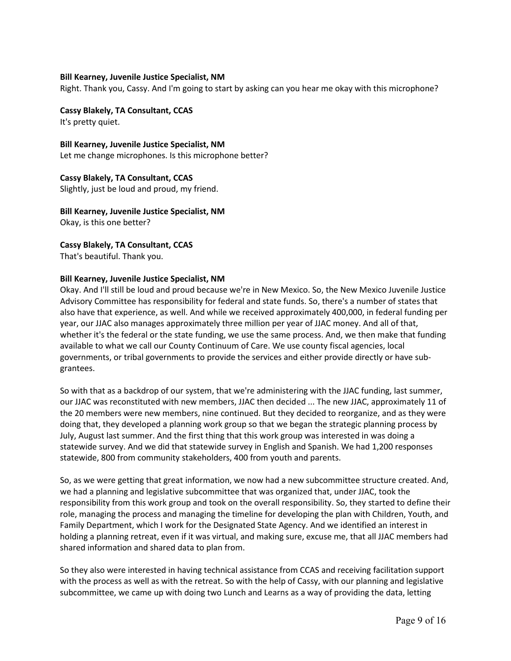#### **Bill Kearney, Juvenile Justice Specialist, NM**

Right. Thank you, Cassy. And I'm going to start by asking can you hear me okay with this microphone?

**Cassy Blakely, TA Consultant, CCAS**  It's pretty quiet.

 **Bill Kearney, Juvenile Justice Specialist, NM** Let me change microphones. Is this microphone better?

 **Cassy Blakely, TA Consultant, CCAS** Slightly, just be loud and proud, my friend.

 **Bill Kearney, Juvenile Justice Specialist, NM** Okay, is this one better?

**Cassy Blakely, TA Consultant, CCAS** 

That's beautiful. Thank you.

#### **Bill Kearney, Juvenile Justice Specialist, NM**

 Advisory Committee has responsibility for federal and state funds. So, there's a number of states that also have that experience, as well. And while we received approximately 400,000, in federal funding per available to what we call our County Continuum of Care. We use county fiscal agencies, local Okay. And I'll still be loud and proud because we're in New Mexico. So, the New Mexico Juvenile Justice year, our JJAC also manages approximately three million per year of JJAC money. And all of that, whether it's the federal or the state funding, we use the same process. And, we then make that funding governments, or tribal governments to provide the services and either provide directly or have subgrantees.

 So with that as a backdrop of our system, that we're administering with the JJAC funding, last summer, our JJAC was reconstituted with new members, JJAC then decided ... The new JJAC, approximately 11 of the 20 members were new members, nine continued. But they decided to reorganize, and as they were doing that, they developed a planning work group so that we began the strategic planning process by July, August last summer. And the first thing that this work group was interested in was doing a statewide, 800 from community stakeholders, 400 from youth and parents. statewide survey. And we did that statewide survey in English and Spanish. We had 1,200 responses

 we had a planning and legislative subcommittee that was organized that, under JJAC, took the responsibility from this work group and took on the overall responsibility. So, they started to define their Family Department, which I work for the Designated State Agency. And we identified an interest in holding a planning retreat, even if it was virtual, and making sure, excuse me, that all JJAC members had So, as we were getting that great information, we now had a new subcommittee structure created. And, role, managing the process and managing the timeline for developing the plan with Children, Youth, and shared information and shared data to plan from.

 with the process as well as with the retreat. So with the help of Cassy, with our planning and legislative So they also were interested in having technical assistance from CCAS and receiving facilitation support subcommittee, we came up with doing two Lunch and Learns as a way of providing the data, letting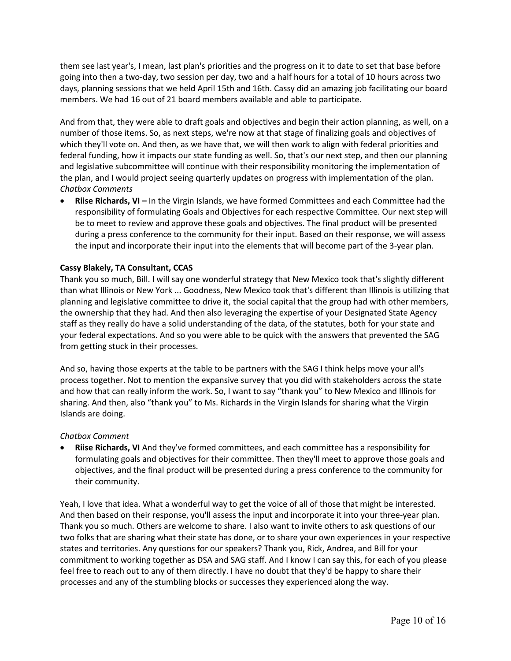going into then a two-day, two session per day, two and a half hours for a total of 10 hours across two days, planning sessions that we held April 15th and 16th. Cassy did an amazing job facilitating our board members. We had 16 out of 21 board members available and able to participate. them see last year's, I mean, last plan's priorities and the progress on it to date to set that base before

 And from that, they were able to draft goals and objectives and begin their action planning, as well, on a number of those items. So, as next steps, we're now at that stage of finalizing goals and objectives of which they'll vote on. And then, as we have that, we will then work to align with federal priorities and federal funding, how it impacts our state funding as well. So, that's our next step, and then our planning and legislative subcommittee will continue with their responsibility monitoring the implementation of the plan, and I would project seeing quarterly updates on progress with implementation of the plan. *Chatbox Comments* 

 • **Riise Richards, VI –** In the Virgin Islands, we have formed Committees and each Committee had the responsibility of formulating Goals and Objectives for each respective Committee. Our next step will be to meet to review and approve these goals and objectives. The final product will be presented during a press conference to the community for their input. Based on their response, we will assess the input and incorporate their input into the elements that will become part of the 3-year plan.

## **Cassy Blakely, TA Consultant, CCAS**

 Thank you so much, Bill. I will say one wonderful strategy that New Mexico took that's slightly different the ownership that they had. And then also leveraging the expertise of your Designated State Agency staff as they really do have a solid understanding of the data, of the statutes, both for your state and your federal expectations. And so you were able to be quick with the answers that prevented the SAG than what Illinois or New York ... Goodness, New Mexico took that's different than Illinois is utilizing that planning and legislative committee to drive it, the social capital that the group had with other members, from getting stuck in their processes.

 And so, having those experts at the table to be partners with the SAG I think helps move your all's process together. Not to mention the expansive survey that you did with stakeholders across the state and how that can really inform the work. So, I want to say "thank you" to New Mexico and Illinois for sharing. And then, also "thank you" to Ms. Richards in the Virgin Islands for sharing what the Virgin Islands are doing.

## *Chatbox Comment*

• **Riise Richards, VI** And they've formed committees, and each committee has a responsibility for formulating goals and objectives for their committee. Then they'll meet to approve those goals and objectives, and the final product will be presented during a press conference to the community for their community.

 Thank you so much. Others are welcome to share. I also want to invite others to ask questions of our commitment to working together as DSA and SAG staff. And I know I can say this, for each of you please Yeah, I love that idea. What a wonderful way to get the voice of all of those that might be interested. And then based on their response, you'll assess the input and incorporate it into your three-year plan. two folks that are sharing what their state has done, or to share your own experiences in your respective states and territories. Any questions for our speakers? Thank you, Rick, Andrea, and Bill for your feel free to reach out to any of them directly. I have no doubt that they'd be happy to share their processes and any of the stumbling blocks or successes they experienced along the way.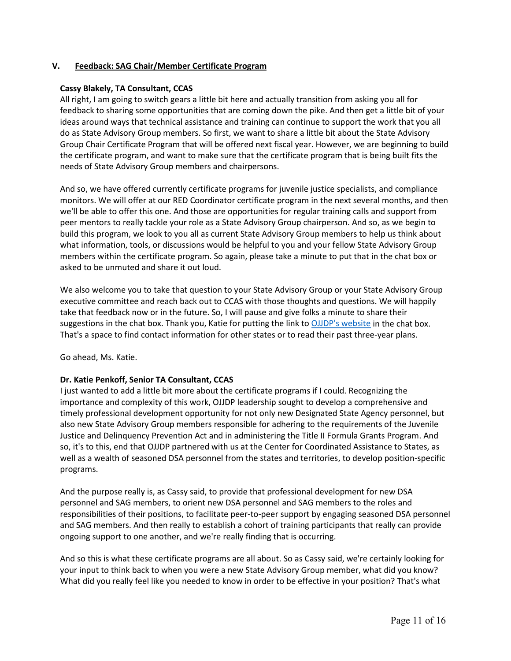#### **V. Feedback: SAG Chair/Member Certificate Program**

#### **Cassy Blakely, TA Consultant, CCAS**

 All right, I am going to switch gears a little bit here and actually transition from asking you all for do as State Advisory Group members. So first, we want to share a little bit about the State Advisory feedback to sharing some opportunities that are coming down the pike. And then get a little bit of your ideas around ways that technical assistance and training can continue to support the work that you all Group Chair Certificate Program that will be offered next fiscal year. However, we are beginning to build the certificate program, and want to make sure that the certificate program that is being built fits the needs of State Advisory Group members and chairpersons.

 monitors. We will offer at our RED Coordinator certificate program in the next several months, and then we'll be able to offer this one. And those are opportunities for regular training calls and support from build this program, we look to you all as current State Advisory Group members to help us think about And so, we have offered currently certificate programs for juvenile justice specialists, and compliance peer mentors to really tackle your role as a State Advisory Group chairperson. And so, as we begin to what information, tools, or discussions would be helpful to you and your fellow State Advisory Group members within the certificate program. So again, please take a minute to put that in the chat box or asked to be unmuted and share it out loud.

 We also welcome you to take that question to your State Advisory Group or your State Advisory Group That's a space to find contact information for other states or to read their past three-year plans. executive committee and reach back out to CCAS with those thoughts and questions. We will happily take that feedback now or in the future. So, I will pause and give folks a minute to share their suggestions in the chat box. Thank you, Katie for putting the link to [OJJDP's website i](https://ojjdp.ojp.gov/states)n the chat box.

Go ahead, Ms. Katie.

# **Dr. Katie Penkoff, Senior TA Consultant, CCAS**

 I just wanted to add a little bit more about the certificate programs if I could. Recognizing the importance and complexity of this work, OJJDP leadership sought to develop a comprehensive and timely professional development opportunity for not only new Designated State Agency personnel, but so, it's to this, end that OJJDP partnered with us at the Center for Coordinated Assistance to States, as also new State Advisory Group members responsible for adhering to the requirements of the Juvenile Justice and Delinquency Prevention Act and in administering the Title II Formula Grants Program. And well as a wealth of seasoned DSA personnel from the states and territories, to develop position-specific programs.

 personnel and SAG members, to orient new DSA personnel and SAG members to the roles and responsibilities of their positions, to facilitate peer-to-peer support by engaging seasoned DSA personnel And the purpose really is, as Cassy said, to provide that professional development for new DSA and SAG members. And then really to establish a cohort of training participants that really can provide ongoing support to one another, and we're really finding that is occurring.

 your input to think back to when you were a new State Advisory Group member, what did you know? And so this is what these certificate programs are all about. So as Cassy said, we're certainly looking for What did you really feel like you needed to know in order to be effective in your position? That's what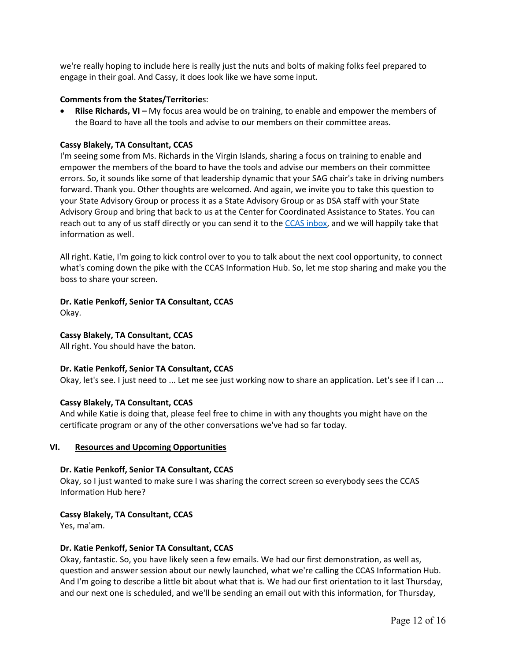we're really hoping to include here is really just the nuts and bolts of making folks feel prepared to engage in their goal. And Cassy, it does look like we have some input.

#### **Comments from the States/Territorie**s:

 • **Riise Richards, VI –** My focus area would be on training, to enable and empower the members of the Board to have all the tools and advise to our members on their committee areas.

# **Cassy Blakely, TA Consultant, CCAS**

 I'm seeing some from Ms. Richards in the Virgin Islands, sharing a focus on training to enable and empower the members of the board to have the tools and advise our members on their committee errors. So, it sounds like some of that leadership dynamic that your SAG chair's take in driving numbers your State Advisory Group or process it as a State Advisory Group or as DSA staff with your State Advisory Group and bring that back to us at the Center for Coordinated Assistance to States. You can reach out to any of us staff directly or you can send it to th[e CCAS inbox,](mailto:ccas@air.org) and we will happily take that forward. Thank you. Other thoughts are welcomed. And again, we invite you to take this question to information as well.

 All right. Katie, I'm going to kick control over to you to talk about the next cool opportunity, to connect boss to share your screen. what's coming down the pike with the CCAS Information Hub. So, let me stop sharing and make you the

# **Dr. Katie Penkoff, Senior TA Consultant, CCAS**

Okay.

# **Cassy Blakely, TA Consultant, CCAS**

All right. You should have the baton.

## **Dr. Katie Penkoff, Senior TA Consultant, CCAS**

Okay, let's see. I just need to ... Let me see just working now to share an application. Let's see if I can ...

#### **Cassy Blakely, TA Consultant, CCAS**

 And while Katie is doing that, please feel free to chime in with any thoughts you might have on the certificate program or any of the other conversations we've had so far today.

#### **VI. Resources and Upcoming Opportunities**

# **Dr. Katie Penkoff, Senior TA Consultant, CCAS**

 Okay, so I just wanted to make sure I was sharing the correct screen so everybody sees the CCAS Information Hub here?

# **Cassy Blakely, TA Consultant, CCAS**

Yes, ma'am.

# **Dr. Katie Penkoff, Senior TA Consultant, CCAS**

 Okay, fantastic. So, you have likely seen a few emails. We had our first demonstration, as well as, And I'm going to describe a little bit about what that is. We had our first orientation to it last Thursday, and our next one is scheduled, and we'll be sending an email out with this information, for Thursday, question and answer session about our newly launched, what we're calling the CCAS Information Hub.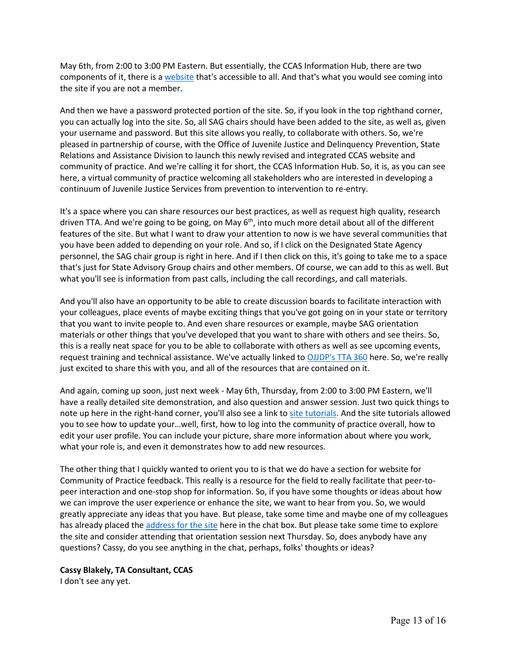May 6th, from 2:00 to 3:00 PM Eastern. But essentially, the CCAS Information Hub, there are two components of it, there is a [website t](https://ccastates.org/)hat's accessible to all. And that's what you would see coming into the site if you are not a member.

 you can actually log into the site. So, all SAG chairs should have been added to the site, as well as, given your username and password. But this site allows you really, to collaborate with others. So, we're pleased in partnership of course, with the Office of Juvenile Justice and Delinquency Prevention, State Relations and Assistance Division to launch this newly revised and integrated CCAS website and community of practice. And we're calling it for short, the CCAS Information Hub. So, it is, as you can see here, a virtual community of practice welcoming all stakeholders who are interested in developing a And then we have a password protected portion of the site. So, if you look in the top righthand corner, continuum of Juvenile Justice Services from prevention to intervention to re-entry.

 It's a space where you can share resources our best practices, as well as request high quality, research driven TTA. And we're going to be going, on May 6<sup>th</sup>, into much more detail about all of the different features of the site. But what I want to draw your attention to now is we have several communities that you have been added to depending on your role. And so, if I click on the Designated State Agency that's just for State Advisory Group chairs and other members. Of course, we can add to this as well. But personnel, the SAG chair group is right in here. And if I then click on this, it's going to take me to a space what you'll see is information from past calls, including the call recordings, and call materials.

 And you'll also have an opportunity to be able to create discussion boards to facilitate interaction with this is a really neat space for you to be able to collaborate with others as well as see upcoming events, request training and technical assistance. We've actually linked to [OJJDP's TTA 360](https://tta360.ojjdp.ojp.gov/?display=login&returnURL=http%3A%2F%2Ftta360%2Eojjdp%2Eojp%2Egov%2F) here. So, we're really your colleagues, place events of maybe exciting things that you've got going on in your state or territory that you want to invite people to. And even share resources or example, maybe SAG orientation materials or other things that you've developed that you want to share with others and see theirs. So, just excited to share this with you, and all of the resources that are contained on it.

 And again, coming up soon, just next week - May 6th, Thursday, from 2:00 to 3:00 PM Eastern, we'll note up here in the right-hand corner, you'll also see a link to [site tutorials.](https://ccastates.org/website-tutorial-videos) And the site tutorials allowed you to see how to update your…well, first, how to log into the community of practice overall, how to edit your user profile. You can include your picture, share more information about where you work, have a really detailed site demonstration, and also question and answer session. Just two quick things to what your role is, and even it demonstrates how to add new resources.

 The other thing that I quickly wanted to orient you to is that we do have a section for website for greatly appreciate any ideas that you have. But please, take some time and maybe one of my colleagues Community of Practice feedback. This really is a resource for the field to really facilitate that peer-topeer interaction and one-stop shop for information. So, if you have some thoughts or ideas about how we can improve the user experience or enhance the site, we want to hear from you. So, we would has already placed the [address for the site](https://ccastates.org/) here in the chat box. But please take some time to explore the site and consider attending that orientation session next Thursday. So, does anybody have any questions? Cassy, do you see anything in the chat, perhaps, folks' thoughts or ideas?

## **Cassy Blakely, TA Consultant, CCAS**

I don't see any yet.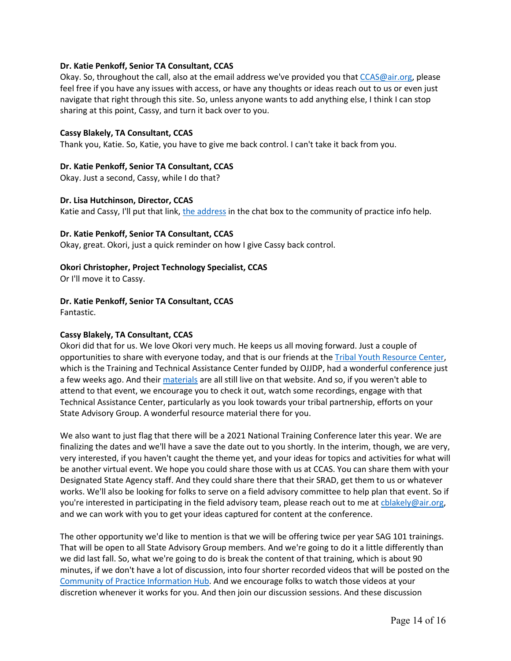#### **Dr. Katie Penkoff, Senior TA Consultant, CCAS**

 feel free if you have any issues with access, or have any thoughts or ideas reach out to us or even just navigate that right through this site. So, unless anyone wants to add anything else, I think I can stop sharing at this point, Cassy, and turn it back over to you. Okay. So, throughout the call, also at the email address we've provided you tha[t CCAS@air.org,](mailto:CCAS@air.org) please

## **Cassy Blakely, TA Consultant, CCAS**

Thank you, Katie. So, Katie, you have to give me back control. I can't take it back from you.

#### **Dr. Katie Penkoff, Senior TA Consultant, CCAS**

Okay. Just a second, Cassy, while I do that?

#### **Dr. Lisa Hutchinson, Director, CCAS**

Katie and Cassy, I'll put that link, [the address](https://ccastates.org/) in the chat box to the community of practice info help.

## **Dr. Katie Penkoff, Senior TA Consultant, CCAS**

Okay, great. Okori, just a quick reminder on how I give Cassy back control.

#### **Okori Christopher, Project Technology Specialist, CCAS**

Or I'll move it to Cassy.

## **Dr. Katie Penkoff, Senior TA Consultant, CCAS**

Fantastic.

# **Cassy Blakely, TA Consultant, CCAS**

 Okori did that for us. We love Okori very much. He keeps us all moving forward. Just a couple of which is the Training and Technical Assistance Center funded by OJJDP, had a wonderful conference just Technical Assistance Center, particularly as you look towards your tribal partnership, efforts on your opportunities to share with everyone today, and that is our friends at th[e Tribal Youth Resource Center,](https://www.tribalyouthprogram.org/) a few weeks ago. And their [materials](https://triballawandpolicyinstitute.6connex.com/event/Training/TYRC/login) are all still live on that website. And so, if you weren't able to attend to that event, we encourage you to check it out, watch some recordings, engage with that State Advisory Group. A wonderful resource material there for you.

 We also want to just flag that there will be a 2021 National Training Conference later this year. We are finalizing the dates and we'll have a save the date out to you shortly. In the interim, though, we are very, be another virtual event. We hope you could share those with us at CCAS. You can share them with your and we can work with you to get your ideas captured for content at the conference. very interested, if you haven't caught the theme yet, and your ideas for topics and activities for what will Designated State Agency staff. And they could share there that their SRAD, get them to us or whatever works. We'll also be looking for folks to serve on a field advisory committee to help plan that event. So if you're interested in participating in the field advisory team, please reach out to me at chlakely@air.org,

 The other opportunity we'd like to mention is that we will be offering twice per year SAG 101 trainings. we did last fall. So, what we're going to do is break the content of that training, which is about 90 minutes, if we don't have a lot of discussion, into four shorter recorded videos that will be posted on the Community of Practice Information Hub</u>. And we encourage folks to watch those videos at your discretion whenever it works for you. And then join our discussion sessions. And these discussion That will be open to all State Advisory Group members. And we're going to do it a little differently than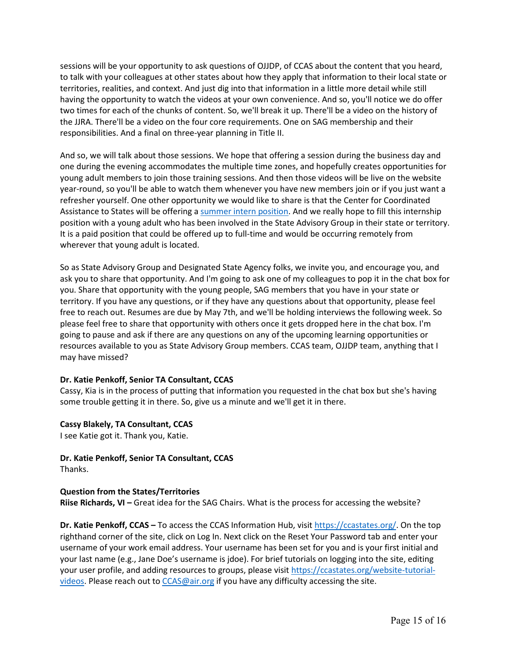sessions will be your opportunity to ask questions of OJJDP, of CCAS about the content that you heard, to talk with your colleagues at other states about how they apply that information to their local state or two times for each of the chunks of content. So, we'll break it up. There'll be a video on the history of the JJRA. There'll be a video on the four core requirements. One on SAG membership and their territories, realities, and context. And just dig into that information in a little more detail while still having the opportunity to watch the videos at your own convenience. And so, you'll notice we do offer responsibilities. And a final on three-year planning in Title II.

 young adult members to join those training sessions. And then those videos will be live on the website And so, we will talk about those sessions. We hope that offering a session during the business day and one during the evening accommodates the multiple time zones, and hopefully creates opportunities for year-round, so you'll be able to watch them whenever you have new members join or if you just want a refresher yourself. One other opportunity we would like to share is that the Center for Coordinated Assistance to States will be offering a [summer intern position.](https://jobs-airdc.icims.com/jobs/11676/intern%2c-juvenile-justice/job?mobile=false&width=482&height=500&bga=true&needsRedirect=false&jan1offset=-360&jun1offset=-300&fbclid=IwAR0-jzYPEmEOC7GFG8t5hoewpRbWYSuzS75swXwRe_9678FqDkni0lHURew) And we really hope to fill this internship position with a young adult who has been involved in the State Advisory Group in their state or territory. It is a paid position that could be offered up to full-time and would be occurring remotely from wherever that young adult is located.

 you. Share that opportunity with the young people, SAG members that you have in your state or free to reach out. Resumes are due by May 7th, and we'll be holding interviews the following week. So going to pause and ask if there are any questions on any of the upcoming learning opportunities or resources available to you as State Advisory Group members. CCAS team, OJJDP team, anything that I So as State Advisory Group and Designated State Agency folks, we invite you, and encourage you, and ask you to share that opportunity. And I'm going to ask one of my colleagues to pop it in the chat box for territory. If you have any questions, or if they have any questions about that opportunity, please feel please feel free to share that opportunity with others once it gets dropped here in the chat box. I'm may have missed?

## **Dr. Katie Penkoff, Senior TA Consultant, CCAS**

Cassy, Kia is in the process of putting that information you requested in the chat box but she's having some trouble getting it in there. So, give us a minute and we'll get it in there.

#### **Cassy Blakely, TA Consultant, CCAS**

I see Katie got it. Thank you, Katie.

 **Dr. Katie Penkoff, Senior TA Consultant, CCAS**  Thanks.

## **Question from the States/Territories**

**Riise Richards, VI –** Great idea for the SAG Chairs. What is the process for accessing the website?

 **Dr. Katie Penkoff, CCAS –** To access the CCAS Information Hub, visit [https://ccastates.org/.](https://ccastates.org/) On the top righthand corner of the site, click on Log In. Next click on the Reset Your Password tab and enter your your last name (e.g., Jane Doe's username is jdoe). For brief tutorials on logging into the site, editing [videos.](https://ccastates.org/website-tutorial-videos) Please reach out t[o CCAS@air.org](mailto:CCAS@air.org) if you have any difficulty accessing the site. username of your work email address. Your username has been set for you and is your first initial and your user profile, and adding resources to groups, please visit [https://ccastates.org/website-tutorial-](https://ccastates.org/website-tutorial-videos)